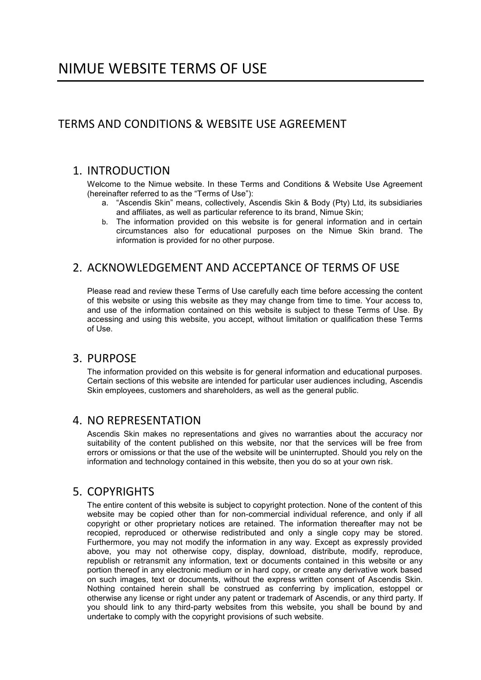# TERMS AND CONDITIONS & WEBSITE USE AGREEMENT

### 1. INTRODUCTION

Welcome to the Nimue website. In these Terms and Conditions & Website Use Agreement (hereinafter referred to as the "Terms of Use"):

- a. "Ascendis Skin" means, collectively, Ascendis Skin & Body (Pty) Ltd, its subsidiaries and affiliates, as well as particular reference to its brand, Nimue Skin;
- b. The information provided on this website is for general information and in certain circumstances also for educational purposes on the Nimue Skin brand. The information is provided for no other purpose.

# 2. ACKNOWLEDGEMENT AND ACCEPTANCE OF TERMS OF USE

Please read and review these Terms of Use carefully each time before accessing the content of this website or using this website as they may change from time to time. Your access to, and use of the information contained on this website is subject to these Terms of Use. By accessing and using this website, you accept, without limitation or qualification these Terms of Use.

#### 3. PURPOSE

The information provided on this website is for general information and educational purposes. Certain sections of this website are intended for particular user audiences including, Ascendis Skin employees, customers and shareholders, as well as the general public.

### 4. NO REPRESENTATION

Ascendis Skin makes no representations and gives no warranties about the accuracy nor suitability of the content published on this website, nor that the services will be free from errors or omissions or that the use of the website will be uninterrupted. Should you rely on the information and technology contained in this website, then you do so at your own risk.

# 5. COPYRIGHTS

The entire content of this website is subject to copyright protection. None of the content of this website may be copied other than for non-commercial individual reference, and only if all copyright or other proprietary notices are retained. The information thereafter may not be recopied, reproduced or otherwise redistributed and only a single copy may be stored. Furthermore, you may not modify the information in any way. Except as expressly provided above, you may not otherwise copy, display, download, distribute, modify, reproduce, republish or retransmit any information, text or documents contained in this website or any portion thereof in any electronic medium or in hard copy, or create any derivative work based on such images, text or documents, without the express written consent of Ascendis Skin. Nothing contained herein shall be construed as conferring by implication, estoppel or otherwise any license or right under any patent or trademark of Ascendis, or any third party. If you should link to any third-party websites from this website, you shall be bound by and undertake to comply with the copyright provisions of such website.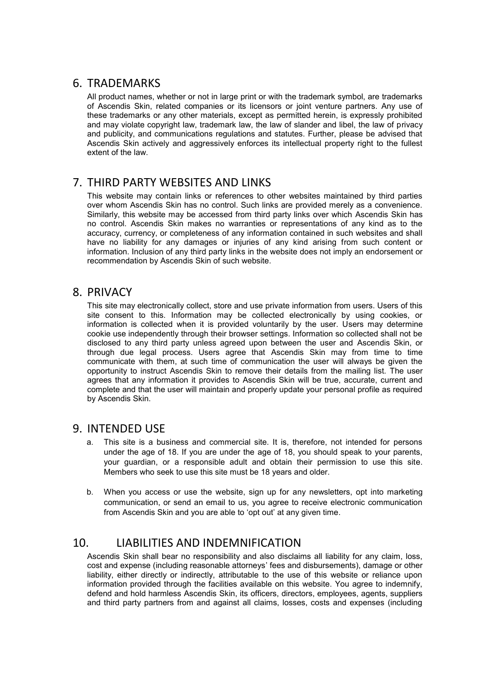### 6. TRADEMARKS

All product names, whether or not in large print or with the trademark symbol, are trademarks of Ascendis Skin, related companies or its licensors or joint venture partners. Any use of these trademarks or any other materials, except as permitted herein, is expressly prohibited and may violate copyright law, trademark law, the law of slander and libel, the law of privacy and publicity, and communications regulations and statutes. Further, please be advised that Ascendis Skin actively and aggressively enforces its intellectual property right to the fullest extent of the law.

### 7. THIRD PARTY WEBSITES AND LINKS

This website may contain links or references to other websites maintained by third parties over whom Ascendis Skin has no control. Such links are provided merely as a convenience. Similarly, this website may be accessed from third party links over which Ascendis Skin has no control. Ascendis Skin makes no warranties or representations of any kind as to the accuracy, currency, or completeness of any information contained in such websites and shall have no liability for any damages or injuries of any kind arising from such content or information. Inclusion of any third party links in the website does not imply an endorsement or recommendation by Ascendis Skin of such website.

#### 8. PRIVACY

This site may electronically collect, store and use private information from users. Users of this site consent to this. Information may be collected electronically by using cookies, or information is collected when it is provided voluntarily by the user. Users may determine cookie use independently through their browser settings. Information so collected shall not be disclosed to any third party unless agreed upon between the user and Ascendis Skin, or through due legal process. Users agree that Ascendis Skin may from time to time communicate with them, at such time of communication the user will always be given the opportunity to instruct Ascendis Skin to remove their details from the mailing list. The user agrees that any information it provides to Ascendis Skin will be true, accurate, current and complete and that the user will maintain and properly update your personal profile as required by Ascendis Skin.

#### 9. INTENDED USE

- a. This site is a business and commercial site. It is, therefore, not intended for persons under the age of 18. If you are under the age of 18, you should speak to your parents, your guardian, or a responsible adult and obtain their permission to use this site. Members who seek to use this site must be 18 years and older.
- b. When you access or use the website, sign up for any newsletters, opt into marketing communication, or send an email to us, you agree to receive electronic communication from Ascendis Skin and you are able to 'opt out' at any given time.

# 10. LIABILITIES AND INDEMNIFICATION

Ascendis Skin shall bear no responsibility and also disclaims all liability for any claim, loss, cost and expense (including reasonable attorneys' fees and disbursements), damage or other liability, either directly or indirectly, attributable to the use of this website or reliance upon information provided through the facilities available on this website. You agree to indemnify, defend and hold harmless Ascendis Skin, its officers, directors, employees, agents, suppliers and third party partners from and against all claims, losses, costs and expenses (including